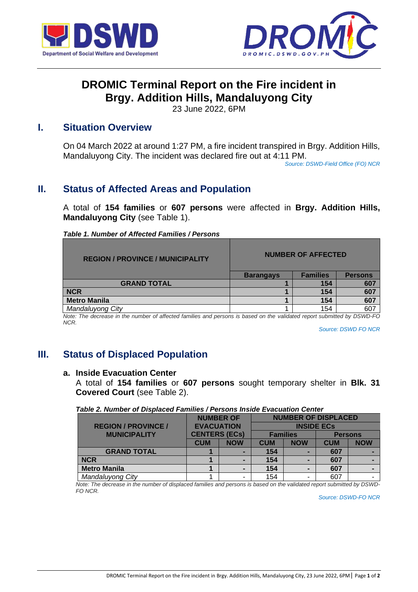



# **DROMIC Terminal Report on the Fire incident in Brgy. Addition Hills, Mandaluyong City**

23 June 2022, 6PM

## **I. Situation Overview**

On 04 March 2022 at around 1:27 PM, a fire incident transpired in Brgy. Addition Hills, Mandaluyong City. The incident was declared fire out at 4:11 PM.

*Source: DSWD-Field Office (FO) NCR*

# **II. Status of Affected Areas and Population**

A total of **154 families** or **607 persons** were affected in **Brgy. Addition Hills, Mandaluyong City** (see Table 1).

| <b>REGION / PROVINCE / MUNICIPALITY</b> | <b>NUMBER OF AFFECTED</b> |                 |                |
|-----------------------------------------|---------------------------|-----------------|----------------|
|                                         | <b>Barangays</b>          | <b>Families</b> | <b>Persons</b> |
| <b>GRAND TOTAL</b>                      |                           | 154             | 607            |
| <b>NCR</b>                              |                           | 154             | 607            |
| <b>Metro Manila</b>                     |                           | 154             | 607            |
| Mandaluyong City                        |                           | 154             | 607            |

*Note: The decrease in the number of affected families and persons is based on the validated report submitted by DSWD-FO NCR.*

*Source: DSWD FO NCR*

# **III. Status of Displaced Population**

#### **a. Inside Evacuation Center**

A total of **154 families** or **607 persons** sought temporary shelter in **Blk. 31 Covered Court** (see Table 2).

#### *Table 2. Number of Displaced Families / Persons Inside Evacuation Center*

|                            | <b>NUMBER OF</b><br><b>EVACUATION</b><br><b>CENTERS (ECs)</b> |            | <b>NUMBER OF DISPLACED</b> |            |                |            |
|----------------------------|---------------------------------------------------------------|------------|----------------------------|------------|----------------|------------|
| <b>REGION / PROVINCE /</b> |                                                               |            | <b>INSIDE ECS</b>          |            |                |            |
| <b>MUNICIPALITY</b>        |                                                               |            | <b>Families</b>            |            | <b>Persons</b> |            |
|                            | <b>CUM</b>                                                    | <b>NOW</b> | <b>CUM</b>                 | <b>NOW</b> | <b>CUM</b>     | <b>NOW</b> |
| <b>GRAND TOTAL</b>         |                                                               |            | 154                        |            | 607            |            |
| <b>NCR</b>                 |                                                               |            | 154                        |            | 607            |            |
| <b>Metro Manila</b>        |                                                               |            | 154                        |            | 607            |            |
| Mandaluyong City           |                                                               |            | 154                        |            | 607            |            |

*Note: The decrease in the number of displaced families and persons is based on the validated report submitted by DSWD-FO NCR.*

*Source: DSWD-FO NCR*